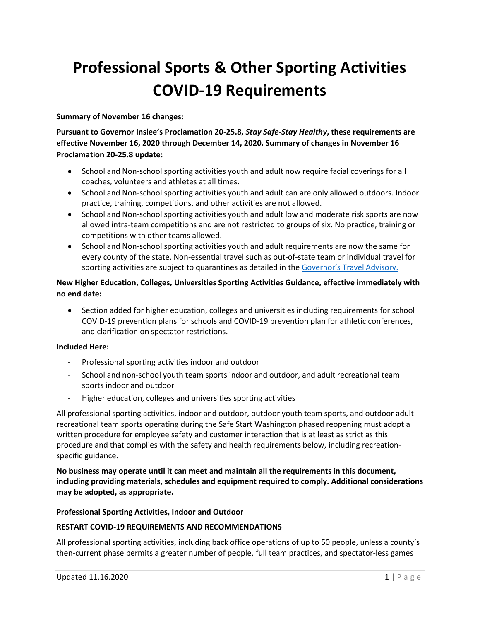# **Professional Sports & Other Sporting Activities COVID-19 Requirements**

**Summary of November 16 changes:** 

**Pursuant to Governor Inslee's Proclamation 20-25.8,** *Stay Safe-Stay Healthy***, these requirements are effective November 16, 2020 through December 14, 2020. Summary of changes in November 16 Proclamation 20-25.8 update:**

- School and Non-school sporting activities youth and adult now require facial coverings for all coaches, volunteers and athletes at all times.
- School and Non-school sporting activities youth and adult can are only allowed outdoors. Indoor practice, training, competitions, and other activities are not allowed.
- School and Non-school sporting activities youth and adult low and moderate risk sports are now allowed intra-team competitions and are not restricted to groups of six. No practice, training or competitions with other teams allowed.
- School and Non-school sporting activities youth and adult requirements are now the same for every county of the state. Non-essential travel such as out-of-state team or individual travel for sporting activities are subject to quarantines as detailed in the [Governor's Travel Advisory.](https://www.governor.wa.gov/sites/default/files/Travel%20Advisory-%20Washington%20state.pdf?utm_medium=email&utm_source=govdelivery)

# **New Higher Education, Colleges, Universities Sporting Activities Guidance, effective immediately with no end date:**

• Section added for higher education, colleges and universities including requirements for school COVID-19 prevention plans for schools and COVID-19 prevention plan for athletic conferences, and clarification on spectator restrictions.

## **Included Here:**

- Professional sporting activities indoor and outdoor
- School and non-school youth team sports indoor and outdoor, and adult recreational team sports indoor and outdoor
- Higher education, colleges and universities sporting activities

All professional sporting activities, indoor and outdoor, outdoor youth team sports, and outdoor adult recreational team sports operating during the Safe Start Washington phased reopening must adopt a written procedure for employee safety and customer interaction that is at least as strict as this procedure and that complies with the safety and health requirements below, including recreationspecific guidance.

**No business may operate until it can meet and maintain all the requirements in this document, including providing materials, schedules and equipment required to comply. Additional considerations may be adopted, as appropriate.** 

#### **Professional Sporting Activities, Indoor and Outdoor**

#### **RESTART COVID-19 REQUIREMENTS AND RECOMMENDATIONS**

All professional sporting activities, including back office operations of up to 50 people, unless a county's then-current phase permits a greater number of people, full team practices, and spectator-less games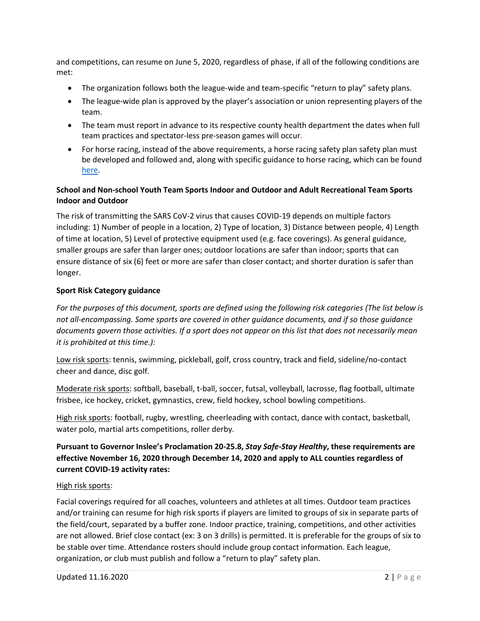and competitions, can resume on June 5, 2020, regardless of phase, if all of the following conditions are met:

- The organization follows both the league-wide and team-specific "return to play" safety plans.
- The league-wide plan is approved by the player's association or union representing players of the team.
- The team must report in advance to its respective county health department the dates when full team practices and spectator-less pre-season games will occur.
- For horse racing, instead of the above requirements, a horse racing safety plan safety plan must be developed and followed and, along with specific guidance to horse racing, which can be found [here.](https://www.governor.wa.gov/sites/default/files/COVID19%20Phase%202%20Live%20Horse%20Racing%20Guidance.pdf)

# **School and Non-school Youth Team Sports Indoor and Outdoor and Adult Recreational Team Sports Indoor and Outdoor**

The risk of transmitting the SARS CoV-2 virus that causes COVID-19 depends on multiple factors including: 1) Number of people in a location, 2) Type of location, 3) Distance between people, 4) Length of time at location, 5) Level of protective equipment used (e.g. face coverings). As general guidance, smaller groups are safer than larger ones; outdoor locations are safer than indoor; sports that can ensure distance of six (6) feet or more are safer than closer contact; and shorter duration is safer than longer.

# **Sport Risk Category guidance**

*For the purposes of this document, sports are defined using the following risk categories (The list below is not all-encompassing. Some sports are covered in other guidance documents, and if so those guidance documents govern those activities. If a sport does not appear on this list that does not necessarily mean it is prohibited at this time.):*

Low risk sports: tennis, swimming, pickleball, golf, cross country, track and field, sideline/no-contact cheer and dance, disc golf.

Moderate risk sports: softball, baseball, t-ball, soccer, futsal, volleyball, lacrosse, flag football, ultimate frisbee, ice hockey, cricket, gymnastics, crew, field hockey, school bowling competitions.

High risk sports: football, rugby, wrestling, cheerleading with contact, dance with contact, basketball, water polo, martial arts competitions, roller derby.

# **Pursuant to Governor Inslee's Proclamation 20-25.8,** *Stay Safe-Stay Healthy***, these requirements are effective November 16, 2020 through December 14, 2020 and apply to ALL counties regardless of current COVID-19 activity rates:**

## High risk sports:

Facial coverings required for all coaches, volunteers and athletes at all times. Outdoor team practices and/or training can resume for high risk sports if players are limited to groups of six in separate parts of the field/court, separated by a buffer zone. Indoor practice, training, competitions, and other activities are not allowed. Brief close contact (ex: 3 on 3 drills) is permitted. It is preferable for the groups of six to be stable over time. Attendance rosters should include group contact information. Each league, organization, or club must publish and follow a "return to play" safety plan.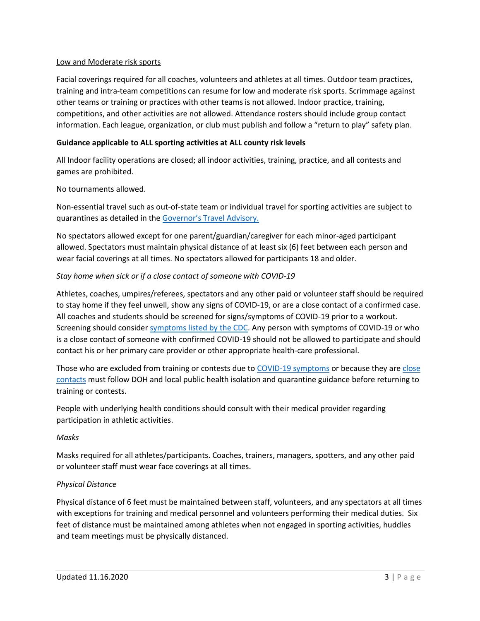#### Low and Moderate risk sports

Facial coverings required for all coaches, volunteers and athletes at all times. Outdoor team practices, training and intra-team competitions can resume for low and moderate risk sports. Scrimmage against other teams or training or practices with other teams is not allowed. Indoor practice, training, competitions, and other activities are not allowed. Attendance rosters should include group contact information. Each league, organization, or club must publish and follow a "return to play" safety plan.

### **Guidance applicable to ALL sporting activities at ALL county risk levels**

All Indoor facility operations are closed; all indoor activities, training, practice, and all contests and games are prohibited.

No tournaments allowed.

Non-essential travel such as out-of-state team or individual travel for sporting activities are subject to quarantines as detailed in the [Governor's Travel Advisory.](https://www.governor.wa.gov/sites/default/files/Travel%20Advisory-%20Washington%20state.pdf?utm_medium=email&utm_source=govdelivery)

No spectators allowed except for one parent/guardian/caregiver for each minor-aged participant allowed. Spectators must maintain physical distance of at least six (6) feet between each person and wear facial coverings at all times. No spectators allowed for participants 18 and older.

## *Stay home when sick or if a close contact of someone with COVID-19*

Athletes, coaches, umpires/referees, spectators and any other paid or volunteer staff should be required to stay home if they feel unwell, show any signs of COVID-19, or are a close contact of a confirmed case. All coaches and students should be screened for signs/symptoms of COVID-19 prior to a workout. Screening should consider [symptoms listed by the CDC.](https://www.cdc.gov/coronavirus/2019-ncov/symptoms-testing/symptoms.html) Any person with symptoms of COVID-19 or who is a close contact of someone with confirmed COVID-19 should not be allowed to participate and should contact his or her primary care provider or other appropriate health-care professional.

Those who are excluded from training or contests due to [COVID-19 symptoms](https://www.doh.wa.gov/Portals/1/Documents/1600/coronavirus/COVIDconcerned.pdf) or because they ar[e close](https://www.doh.wa.gov/Portals/1/Documents/1600/coronavirus/COVIDexposed.pdf)  [contacts](https://www.doh.wa.gov/Portals/1/Documents/1600/coronavirus/COVIDexposed.pdf) must follow DOH and local public health isolation and quarantine guidance before returning to training or contests.

People with underlying health conditions should consult with their medical provider regarding participation in athletic activities.

#### *Masks*

Masks required for all athletes/participants. Coaches, trainers, managers, spotters, and any other paid or volunteer staff must wear face coverings at all times.

#### *Physical Distance*

Physical distance of 6 feet must be maintained between staff, volunteers, and any spectators at all times with exceptions for training and medical personnel and volunteers performing their medical duties. Six feet of distance must be maintained among athletes when not engaged in sporting activities, huddles and team meetings must be physically distanced.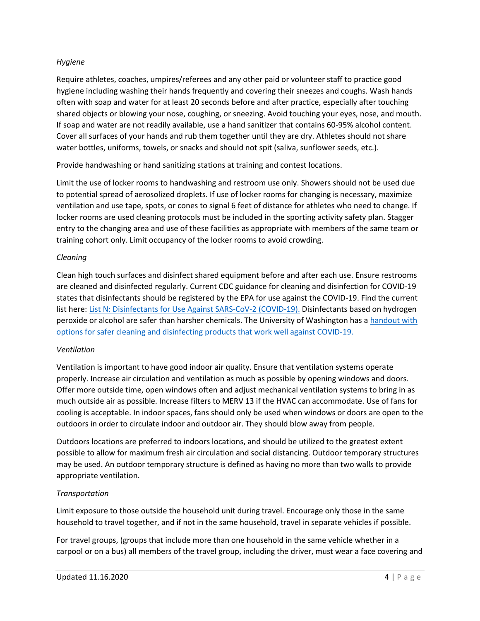#### *Hygiene*

Require athletes, coaches, umpires/referees and any other paid or volunteer staff to practice good hygiene including washing their hands frequently and covering their sneezes and coughs. Wash hands often with soap and water for at least 20 seconds before and after practice, especially after touching shared objects or blowing your nose, coughing, or sneezing. Avoid touching your eyes, nose, and mouth. If soap and water are not readily available, use a hand sanitizer that contains 60-95% alcohol content. Cover all surfaces of your hands and rub them together until they are dry. Athletes should not share water bottles, uniforms, towels, or snacks and should not spit (saliva, sunflower seeds, etc.).

Provide handwashing or hand sanitizing stations at training and contest locations.

Limit the use of locker rooms to handwashing and restroom use only. Showers should not be used due to potential spread of aerosolized droplets. If use of locker rooms for changing is necessary, maximize ventilation and use tape, spots, or cones to signal 6 feet of distance for athletes who need to change. If locker rooms are used cleaning protocols must be included in the sporting activity safety plan. Stagger entry to the changing area and use of these facilities as appropriate with members of the same team or training cohort only. Limit occupancy of the locker rooms to avoid crowding.

#### *Cleaning*

Clean high touch surfaces and disinfect shared equipment before and after each use. Ensure restrooms are cleaned and disinfected regularly. Current CDC guidance for cleaning and disinfection for COVID-19 states that disinfectants should be registered by the EPA for use against the COVID-19. Find the current list here[: List N: Disinfectants for Use Against SARS-CoV-2 \(COVID-19\).](https://www.epa.gov/pesticide-registration/list-n-disinfectants-coronavirus-covid-19) Disinfectants based on hydrogen peroxide or alcohol are safer than harsher chemicals. The University of Washington has a [handout with](https://osha.washington.edu/sites/default/files/documents/FactSheet_Cleaning_Final_UWDEOHS_0.pdf)  [options for safer cleaning and disinfecting products that work well against COVID-19.](https://osha.washington.edu/sites/default/files/documents/FactSheet_Cleaning_Final_UWDEOHS_0.pdf)

#### *Ventilation*

Ventilation is important to have good indoor air quality. Ensure that ventilation systems operate properly. Increase air circulation and ventilation as much as possible by opening windows and doors. Offer more outside time, open windows often and adjust mechanical ventilation systems to bring in as much outside air as possible. Increase filters to MERV 13 if the HVAC can accommodate. Use of fans for cooling is acceptable. In indoor spaces, fans should only be used when windows or doors are open to the outdoors in order to circulate indoor and outdoor air. They should blow away from people.

Outdoors locations are preferred to indoors locations, and should be utilized to the greatest extent possible to allow for maximum fresh air circulation and social distancing. Outdoor temporary structures may be used. An outdoor temporary structure is defined as having no more than two walls to provide appropriate ventilation.

## *Transportation*

Limit exposure to those outside the household unit during travel. Encourage only those in the same household to travel together, and if not in the same household, travel in separate vehicles if possible.

For travel groups, (groups that include more than one household in the same vehicle whether in a carpool or on a bus) all members of the travel group, including the driver, must wear a face covering and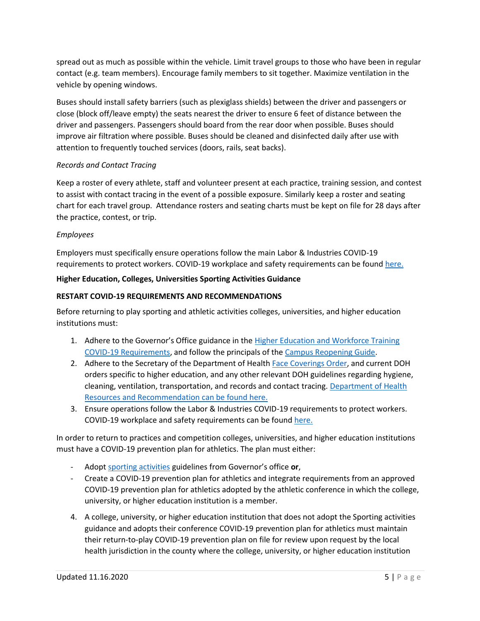spread out as much as possible within the vehicle. Limit travel groups to those who have been in regular contact (e.g. team members). Encourage family members to sit together. Maximize ventilation in the vehicle by opening windows.

Buses should install safety barriers (such as plexiglass shields) between the driver and passengers or close (block off/leave empty) the seats nearest the driver to ensure 6 feet of distance between the driver and passengers. Passengers should board from the rear door when possible. Buses should improve air filtration where possible. Buses should be cleaned and disinfected daily after use with attention to frequently touched services (doors, rails, seat backs).

## *Records and Contact Tracing*

Keep a roster of every athlete, staff and volunteer present at each practice, training session, and contest to assist with contact tracing in the event of a possible exposure. Similarly keep a roster and seating chart for each travel group. Attendance rosters and seating charts must be kept on file for 28 days after the practice, contest, or trip.

## *Employees*

Employers must specifically ensure operations follow the main Labor & Industries COVID-19 requirements to protect workers. COVID-19 workplace and safety requirements can be found [here.](https://lni.wa.gov/forms-publications/f414-169-000.pdf)

# **Higher Education, Colleges, Universities Sporting Activities Guidance**

## **RESTART COVID-19 REQUIREMENTS AND RECOMMENDATIONS**

Before returning to play sporting and athletic activities colleges, universities, and higher education institutions must:

- 1. Adhere to the Governor's Office guidance in the Higher Education and Workforce Training [COVID-19 Requirements,](https://www.governor.wa.gov/sites/default/files/COVID19Phase2Higher%20EducationGuidance.pdf) and follow the principals of th[e Campus Reopening Guide.](https://www.governor.wa.gov/sites/default/files/2020.06.23%20Campus%20Reopening%20Guide%20FINAL.pdf)
- 2. Adhere to the Secretary of the Department of Health [Face Coverings Order,](https://www.doh.wa.gov/Portals/1/Documents/1600/coronavirus/Secretary_of_Health_Order_20-03_Statewide_Face_Coverings.pdf) and current DOH orders specific to higher education, and any other relevant DOH guidelines regarding hygiene, cleaning, ventilation, transportation, and records and contact tracing. [Department of Health](https://www.doh.wa.gov/Emergencies/COVID19/ResourcesandRecommendations)  [Resources and Recommendation can be found here.](https://www.doh.wa.gov/Emergencies/COVID19/ResourcesandRecommendations)
- 3. Ensure operations follow the Labor & Industries COVID-19 requirements to protect workers. COVID-19 workplace and safety requirements can be foun[d here.](https://lni.wa.gov/forms-publications/f414-169-000.pdf)

In order to return to practices and competition colleges, universities, and higher education institutions must have a COVID-19 prevention plan for athletics. The plan must either:

- Adopt [sporting activities](https://www.governor.wa.gov/sites/default/files/COVID19%20Phase%202%20and%203%20Sporting%20Activities%20Guidance.pdf) guidelines from Governor's office **or**,
- Create a COVID-19 prevention plan for athletics and integrate requirements from an approved COVID-19 prevention plan for athletics adopted by the athletic conference in which the college, university, or higher education institution is a member.
- 4. A college, university, or higher education institution that does not adopt the Sporting activities guidance and adopts their conference COVID-19 prevention plan for athletics must maintain their return-to-play COVID-19 prevention plan on file for review upon request by the local health jurisdiction in the county where the college, university, or higher education institution